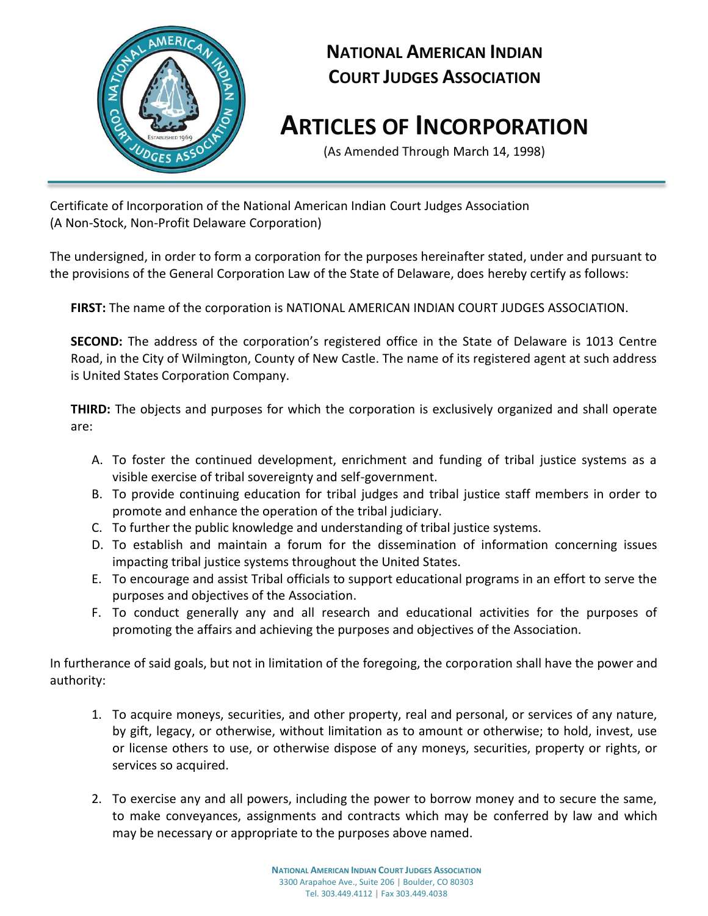

## **NATIONAL AMERICAN INDIAN COURT JUDGES ASSOCIATION**

## **ARTICLES OF INCORPORATION**

(As Amended Through March 14, 1998)

Certificate of Incorporation of the National American Indian Court Judges Association (A Non-Stock, Non-Profit Delaware Corporation)

The undersigned, in order to form a corporation for the purposes hereinafter stated, under and pursuant to the provisions of the General Corporation Law of the State of Delaware, does hereby certify as follows:

**FIRST:** The name of the corporation is NATIONAL AMERICAN INDIAN COURT JUDGES ASSOCIATION.

**SECOND:** The address of the corporation's registered office in the State of Delaware is 1013 Centre Road, in the City of Wilmington, County of New Castle. The name of its registered agent at such address is United States Corporation Company.

**THIRD:** The objects and purposes for which the corporation is exclusively organized and shall operate are:

- A. To foster the continued development, enrichment and funding of tribal justice systems as a visible exercise of tribal sovereignty and self-government.
- B. To provide continuing education for tribal judges and tribal justice staff members in order to promote and enhance the operation of the tribal judiciary.
- C. To further the public knowledge and understanding of tribal justice systems.
- D. To establish and maintain a forum for the dissemination of information concerning issues impacting tribal justice systems throughout the United States.
- E. To encourage and assist Tribal officials to support educational programs in an effort to serve the purposes and objectives of the Association.
- F. To conduct generally any and all research and educational activities for the purposes of promoting the affairs and achieving the purposes and objectives of the Association.

In furtherance of said goals, but not in limitation of the foregoing, the corporation shall have the power and authority:

- 1. To acquire moneys, securities, and other property, real and personal, or services of any nature, by gift, legacy, or otherwise, without limitation as to amount or otherwise; to hold, invest, use or license others to use, or otherwise dispose of any moneys, securities, property or rights, or services so acquired.
- 2. To exercise any and all powers, including the power to borrow money and to secure the same, to make conveyances, assignments and contracts which may be conferred by law and which may be necessary or appropriate to the purposes above named.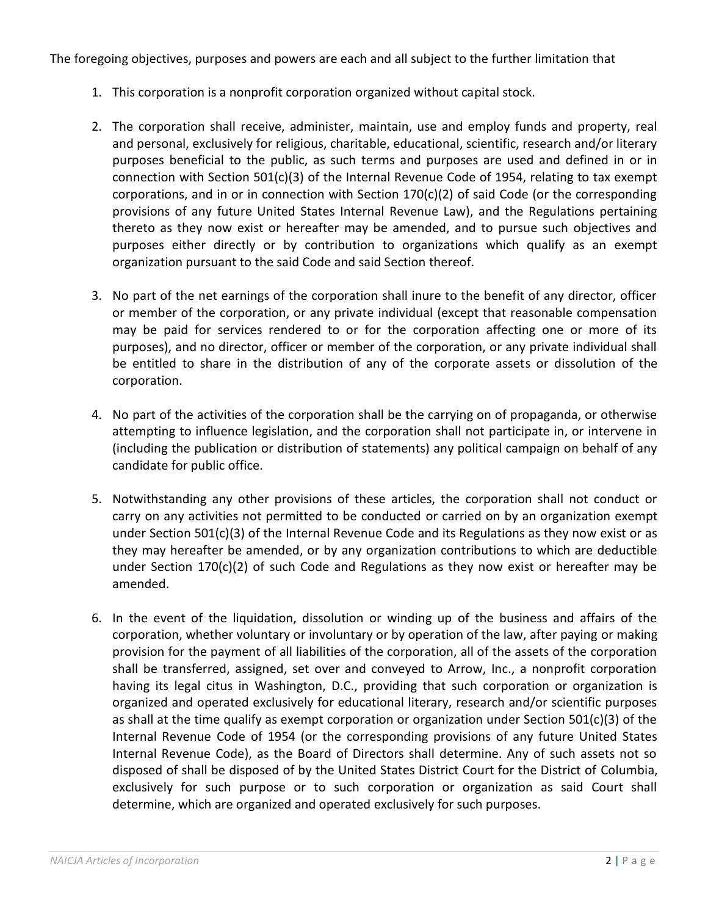The foregoing objectives, purposes and powers are each and all subject to the further limitation that

- 1. This corporation is a nonprofit corporation organized without capital stock.
- 2. The corporation shall receive, administer, maintain, use and employ funds and property, real and personal, exclusively for religious, charitable, educational, scientific, research and/or literary purposes beneficial to the public, as such terms and purposes are used and defined in or in connection with Section 501(c)(3) of the Internal Revenue Code of 1954, relating to tax exempt corporations, and in or in connection with Section 170(c)(2) of said Code (or the corresponding provisions of any future United States Internal Revenue Law), and the Regulations pertaining thereto as they now exist or hereafter may be amended, and to pursue such objectives and purposes either directly or by contribution to organizations which qualify as an exempt organization pursuant to the said Code and said Section thereof.
- 3. No part of the net earnings of the corporation shall inure to the benefit of any director, officer or member of the corporation, or any private individual (except that reasonable compensation may be paid for services rendered to or for the corporation affecting one or more of its purposes), and no director, officer or member of the corporation, or any private individual shall be entitled to share in the distribution of any of the corporate assets or dissolution of the corporation.
- 4. No part of the activities of the corporation shall be the carrying on of propaganda, or otherwise attempting to influence legislation, and the corporation shall not participate in, or intervene in (including the publication or distribution of statements) any political campaign on behalf of any candidate for public office.
- 5. Notwithstanding any other provisions of these articles, the corporation shall not conduct or carry on any activities not permitted to be conducted or carried on by an organization exempt under Section 501(c)(3) of the Internal Revenue Code and its Regulations as they now exist or as they may hereafter be amended, or by any organization contributions to which are deductible under Section 170(c)(2) of such Code and Regulations as they now exist or hereafter may be amended.
- 6. In the event of the liquidation, dissolution or winding up of the business and affairs of the corporation, whether voluntary or involuntary or by operation of the law, after paying or making provision for the payment of all liabilities of the corporation, all of the assets of the corporation shall be transferred, assigned, set over and conveyed to Arrow, Inc., a nonprofit corporation having its legal citus in Washington, D.C., providing that such corporation or organization is organized and operated exclusively for educational literary, research and/or scientific purposes as shall at the time qualify as exempt corporation or organization under Section 501(c)(3) of the Internal Revenue Code of 1954 (or the corresponding provisions of any future United States Internal Revenue Code), as the Board of Directors shall determine. Any of such assets not so disposed of shall be disposed of by the United States District Court for the District of Columbia, exclusively for such purpose or to such corporation or organization as said Court shall determine, which are organized and operated exclusively for such purposes.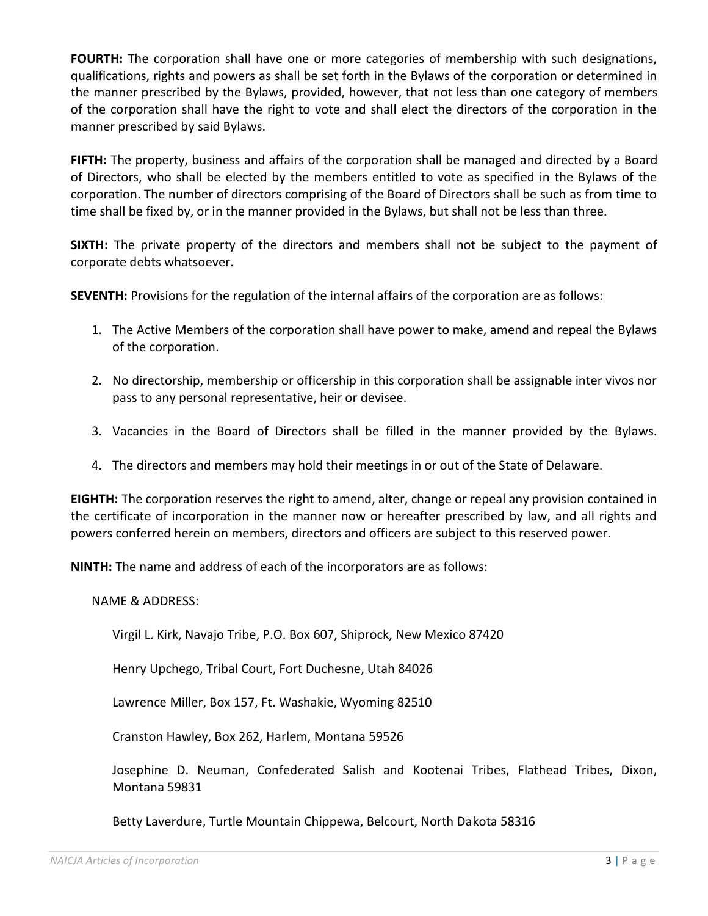**FOURTH:** The corporation shall have one or more categories of membership with such designations, qualifications, rights and powers as shall be set forth in the Bylaws of the corporation or determined in the manner prescribed by the Bylaws, provided, however, that not less than one category of members of the corporation shall have the right to vote and shall elect the directors of the corporation in the manner prescribed by said Bylaws.

**FIFTH:** The property, business and affairs of the corporation shall be managed and directed by a Board of Directors, who shall be elected by the members entitled to vote as specified in the Bylaws of the corporation. The number of directors comprising of the Board of Directors shall be such as from time to time shall be fixed by, or in the manner provided in the Bylaws, but shall not be less than three.

**SIXTH:** The private property of the directors and members shall not be subject to the payment of corporate debts whatsoever.

**SEVENTH:** Provisions for the regulation of the internal affairs of the corporation are as follows:

- 1. The Active Members of the corporation shall have power to make, amend and repeal the Bylaws of the corporation.
- 2. No directorship, membership or officership in this corporation shall be assignable inter vivos nor pass to any personal representative, heir or devisee.
- 3. Vacancies in the Board of Directors shall be filled in the manner provided by the Bylaws.
- 4. The directors and members may hold their meetings in or out of the State of Delaware.

**EIGHTH:** The corporation reserves the right to amend, alter, change or repeal any provision contained in the certificate of incorporation in the manner now or hereafter prescribed by law, and all rights and powers conferred herein on members, directors and officers are subject to this reserved power.

**NINTH:** The name and address of each of the incorporators are as follows:

NAME & ADDRESS:

Virgil L. Kirk, Navajo Tribe, P.O. Box 607, Shiprock, New Mexico 87420

Henry Upchego, Tribal Court, Fort Duchesne, Utah 84026

Lawrence Miller, Box 157, Ft. Washakie, Wyoming 82510

Cranston Hawley, Box 262, Harlem, Montana 59526

Josephine D. Neuman, Confederated Salish and Kootenai Tribes, Flathead Tribes, Dixon, Montana 59831

Betty Laverdure, Turtle Mountain Chippewa, Belcourt, North Dakota 58316